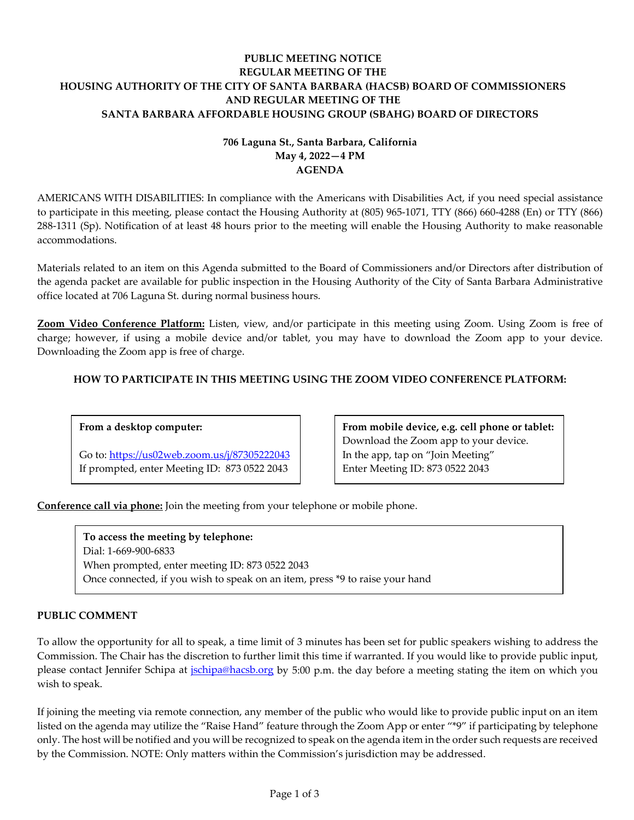# **PUBLIC MEETING NOTICE REGULAR MEETING OF THE HOUSING AUTHORITY OF THE CITY OF SANTA BARBARA (HACSB) BOARD OF COMMISSIONERS AND REGULAR MEETING OF THE SANTA BARBARA AFFORDABLE HOUSING GROUP (SBAHG) BOARD OF DIRECTORS**

# **706 Laguna St., Santa Barbara, California May 4, 2022—4 PM AGENDA**

AMERICANS WITH DISABILITIES: In compliance with the Americans with Disabilities Act, if you need special assistance to participate in this meeting, please contact the Housing Authority at (805) 965-1071, TTY (866) 660-4288 (En) or TTY (866) 288-1311 (Sp). Notification of at least 48 hours prior to the meeting will enable the Housing Authority to make reasonable accommodations.

Materials related to an item on this Agenda submitted to the Board of Commissioners and/or Directors after distribution of the agenda packet are available for public inspection in the Housing Authority of the City of Santa Barbara Administrative office located at 706 Laguna St. during normal business hours.

**Zoom Video Conference Platform:** Listen, view, and/or participate in this meeting using Zoom. Using Zoom is free of charge; however, if using a mobile device and/or tablet, you may have to download the Zoom app to your device. Downloading the Zoom app is free of charge.

# **HOW TO PARTICIPATE IN THIS MEETING USING THE ZOOM VIDEO CONFERENCE PLATFORM:**

# **From a desktop computer:**

Go to:<https://us02web.zoom.us/j/87305222043> If prompted, enter Meeting ID: 873 0522 2043

**From mobile device, e.g. cell phone or tablet:** Download the Zoom app to your device. In the app, tap on "Join Meeting" Enter Meeting ID: 873 0522 2043

**Conference call via phone:** Join the meeting from your telephone or mobile phone.

To access the meeting by telephone: Dial: 1-669-900-6833 When prompted, enter meeting ID: 873 0522 2043 Once connected, if you wish to speak on an item, press \*9 to raise your hand

# **PUBLIC COMMENT**

To allow the opportunity for all to speak, a time limit of 3 minutes has been set for public speakers wishing to address the Commission. The Chair has the discretion to further limit this time if warranted. If you would like to provide public input, please contact Jennifer Schipa at [jschipa@hacsb.org](mailto:jschipa@hacsb.org) by 5:00 p.m. the day before a meeting stating the item on which you wish to speak.

If joining the meeting via remote connection, any member of the public who would like to provide public input on an item listed on the agenda may utilize the "Raise Hand" feature through the Zoom App or enter "\*9" if participating by telephone only. The host will be notified and you will be recognized to speak on the agenda item in the order such requests are received by the Commission. NOTE: Only matters within the Commission's jurisdiction may be addressed.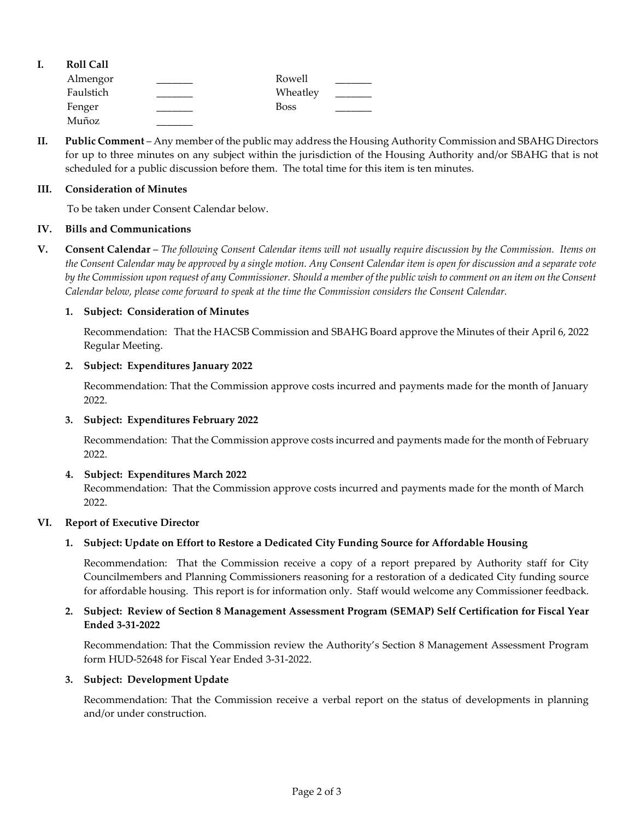| <b>Roll Call</b> |             |  |
|------------------|-------------|--|
| Almengor         | Rowell      |  |
| Faulstich        | Wheatley    |  |
| Fenger           | <b>Boss</b> |  |
| Muñoz            |             |  |

**II. Public Comment** – Any member of the public may address the Housing Authority Commission and SBAHG Directors for up to three minutes on any subject within the jurisdiction of the Housing Authority and/or SBAHG that is not scheduled for a public discussion before them. The total time for this item is ten minutes.

### **III. Consideration of Minutes**

To be taken under Consent Calendar below.

## **IV. Bills and Communications**

**V. Consent Calendar** – *The following Consent Calendar items will not usually require discussion by the Commission. Items on the Consent Calendar may be approved by a single motion. Any Consent Calendar item is open for discussion and a separate vote by the Commission upon request of any Commissioner. Should a member of the public wish to comment on an item on the Consent Calendar below, please come forward to speak at the time the Commission considers the Consent Calendar.*

## **1. Subject: Consideration of Minutes**

Recommendation: That the HACSB Commission [and SBAHG Board approve the Minutes of their April](https://hacsb.org/download/meetings_2022/items/may/MINUTES-04-06-2022.pdf) 6, 2022 Regular Meeting.

## **2. Subject: Expenditures January 2022**

[Recommendation: That the Commission approve costs incurred and payments made for the month of January](https://hacsb.org/download/meetings_2022/items/may/Item-V.2_January-2022-Expenditures.pdf) 2022.

# **3. Subject: Expenditures February 2022**

[Recommendation: That the Commission approve costs incurred and payments made for the month of February](https://hacsb.org/download/meetings_2022/items/may/Item-V.3_February-2022-Expenditures.pdf) 2022.

#### **4. Subject: Expenditures March 2022**

[Recommendation: That the Commission approve costs incurred and payments made for the month of March](https://hacsb.org/download/meetings_2022/items/may/Item-V.4_March-2022-Expenditures.pdf) 2022.

### **VI. Report of Executive Director**

# **1. Subject: Update on Effort to Restore a Dedicated City Funding Source for Affordable Housing**

Recommendation: That the Commission receive a copy of a report prepared by Authority staff for City Councilmembers and Planning Commissioners reasoning for a restoration of a dedicated City funding source [for affordable housing. This report is for information only. Staff would welcome any Commissioner feedback.](https://hacsb.org/download/meetings_2022/items/may/Item-VI.1_Report-on-Request-for-Dedicated-Funding-Source.pdf)

# **[2. Subject: Review of Section 8 Management Assessment Program \(SEMAP\) Self Certification for Fiscal Year](https://hacsb.org/download/meetings_2022/items/may/Item-VI.2_SEMAP.pdf)  Ended 3-31-2022**

Recommendation: That the Commission review the Authority's Section 8 Management Assessment Program form HUD-52648 for Fiscal Year Ended 3-31-2022.

#### **3. Subject: Development Update**

Recommendation: That the Commission receive a verbal report on the status of developments in planning and/or under construction.